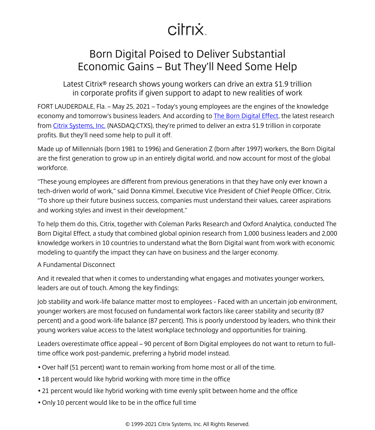## citrix.

## <span id="page-0-0"></span>Born Digital Poised to Deliver Substantial Economic Gains – But They'll Need Some Help

Latest Citrix® research shows young workers can drive an extra \$1.9 trillion in corporate profits if given support to adapt to new realities of work

FORT LAUDERDALE, Fla. – May 25, 2021 – Today's young employees are the engines of the knowledge economy and tomorrow's business leaders. And according to The Born Digital Effect, the latest research from [Citrix Systems, Inc.](/content/citrix/es-es/
            .html) (NASDAQ:CTXS), they're primed to deliver an extra \$1.9 trillion in corporate profits. But they'll need some help to pull it off.

Made up of Millennials (born 1981 to 1996) and Generation Z (born after 1997) workers, the Born Digital are the first generation to grow up in an entirely digital world, and now account for most of the global workforce.

"These young employees are different from previous generations in that they have only ever known a tech-driven world of work," said Donna Kimmel, Executive Vice President of Chief People Officer, Citrix. "To shore up their future business success, companies must understand their values, career aspirations and working styles and invest in their development."

To help them do this, Citrix, together with Coleman Parks Research and Oxford Analytica, conducted The Born Digital Effect, a study that combined global opinion research from 1,000 business leaders and 2,000 knowledge workers in 10 countries to understand what the Born Digital want from work with economic modeling to quantify the impact they can have on business and the larger economy.

## A Fundamental Disconnect

And it revealed that when it comes to understanding what engages and motivates younger workers, leaders are out of touch. Among the key findings:

Job stability and work-life balance matter most to employees - Faced with an uncertain job environment, younger workers are most focused on fundamental work factors like career stability and security (87 percent) and a good work-life balance (87 percent). This is poorly understood by leaders, who think their young workers value access to the latest workplace technology and opportunities for training.

Leaders overestimate office appeal – 90 percent of Born Digital employees do not want to return to fulltime office work post-pandemic, preferring a hybrid model instead.

- Over half (51 percent) want to remain working from home most or all of the time.
- 18 percent would like hybrid working with more time in the office
- 21 percent would like hybrid working with time evenly split between home and the office
- Only 10 percent would like to be in the office full time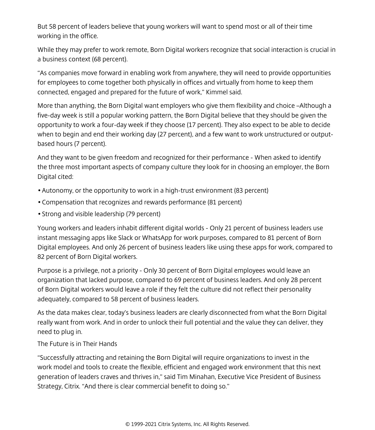But 58 percent of leaders believe that young workers will want to spend most or all of their time working in the office.

While they may prefer to work remote. Born Digital workers recognize that social interaction is crucial in a business context (68 percent).

"As companies move forward in enabling work from anywhere, they will need to provide opportunities for employees to come together both physically in offices and virtually from home to keep them connected, engaged and prepared for the future of work," Kimmel said.

More than anything, the Born Digital want employers who give them flexibility and choice –Although a five-day week is still a popular working pattern, the Born Digital believe that they should be given the opportunity to work a four-day week if they choose (17 percent). They also expect to be able to decide when to begin and end their working day (27 percent), and a few want to work unstructured or outputbased hours (7 percent).

And they want to be given freedom and recognized for their performance - When asked to identify the three most important aspects of company culture they look for in choosing an employer, the Born Digital cited:

- Autonomy, or the opportunity to work in a high-trust environment (83 percent)
- Compensation that recognizes and rewards performance (81 percent)
- Strong and visible leadership (79 percent)

Young workers and leaders inhabit different digital worlds - Only 21 percent of business leaders use instant messaging apps like Slack or WhatsApp for work purposes, compared to 81 percent of Born Digital employees. And only 26 percent of business leaders like using these apps for work, compared to 82 percent of Born Digital workers.

Purpose is a privilege, not a priority - Only 30 percent of Born Digital employees would leave an organization that lacked purpose, compared to 69 percent of business leaders. And only 28 percent of Born Digital workers would leave a role if they felt the culture did not reflect their personality adequately, compared to 58 percent of business leaders.

As the data makes clear, today's business leaders are clearly disconnected from what the Born Digital really want from work. And in order to unlock their full potential and the value they can deliver, they need to plug in.

The Future is in Their Hands

"Successfully attracting and retaining the Born Digital will require organizations to invest in the work model and tools to create the flexible, efficient and engaged work environment that this next generation of leaders craves and thrives in," said Tim Minahan, Executive Vice President of Business Strategy, Citrix. "And there is clear commercial benefit to doing so."